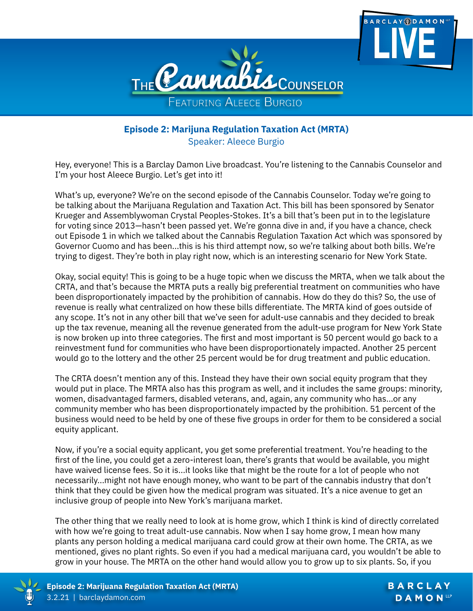



## **Episode 2: Marijuna Regulation Taxation Act (MRTA)** Speaker: Aleece Burgio

Hey, everyone! This is a Barclay Damon Live broadcast. You're listening to the Cannabis Counselor and I'm your host Aleece Burgio. Let's get into it!

What's up, everyone? We're on the second episode of the Cannabis Counselor. Today we're going to be talking about the Marijuana Regulation and Taxation Act. This bill has been sponsored by Senator Krueger and Assemblywoman Crystal Peoples-Stokes. It's a bill that's been put in to the legislature for voting since 2013—hasn't been passed yet. We're gonna dive in and, if you have a chance, check out Episode 1 in which we talked about the Cannabis Regulation Taxation Act which was sponsored by Governor Cuomo and has been...this is his third attempt now, so we're talking about both bills. We're trying to digest. They're both in play right now, which is an interesting scenario for New York State.

Okay, social equity! This is going to be a huge topic when we discuss the MRTA, when we talk about the CRTA, and that's because the MRTA puts a really big preferential treatment on communities who have been disproportionately impacted by the prohibition of cannabis. How do they do this? So, the use of revenue is really what centralized on how these bills differentiate. The MRTA kind of goes outside of any scope. It's not in any other bill that we've seen for adult-use cannabis and they decided to break up the tax revenue, meaning all the revenue generated from the adult-use program for New York State is now broken up into three categories. The first and most important is 50 percent would go back to a reinvestment fund for communities who have been disproportionately impacted. Another 25 percent would go to the lottery and the other 25 percent would be for drug treatment and public education.

The CRTA doesn't mention any of this. Instead they have their own social equity program that they would put in place. The MRTA also has this program as well, and it includes the same groups: minority, women, disadvantaged farmers, disabled veterans, and, again, any community who has...or any community member who has been disproportionately impacted by the prohibition. 51 percent of the business would need to be held by one of these five groups in order for them to be considered a social equity applicant.

Now, if you're a social equity applicant, you get some preferential treatment. You're heading to the first of the line, you could get a zero-interest loan, there's grants that would be available, you might have waived license fees. So it is...it looks like that might be the route for a lot of people who not necessarily...might not have enough money, who want to be part of the cannabis industry that don't think that they could be given how the medical program was situated. It's a nice avenue to get an inclusive group of people into New York's marijuana market.

The other thing that we really need to look at is home grow, which I think is kind of directly correlated with how we're going to treat adult-use cannabis. Now when I say home grow, I mean how many plants any person holding a medical marijuana card could grow at their own home. The CRTA, as we mentioned, gives no plant rights. So even if you had a medical marijuana card, you wouldn't be able to grow in your house. The MRTA on the other hand would allow you to grow up to six plants. So, if you